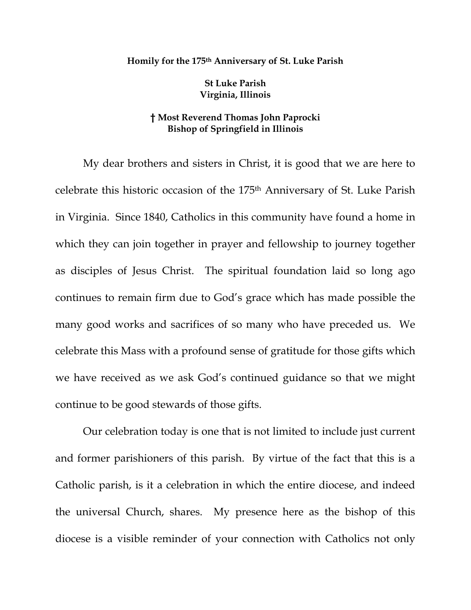## **Homily for the 175th Anniversary of St. Luke Parish**

**St Luke Parish Virginia, Illinois** 

## **† Most Reverend Thomas John Paprocki Bishop of Springfield in Illinois**

My dear brothers and sisters in Christ, it is good that we are here to celebrate this historic occasion of the 175th Anniversary of St. Luke Parish in Virginia. Since 1840, Catholics in this community have found a home in which they can join together in prayer and fellowship to journey together as disciples of Jesus Christ. The spiritual foundation laid so long ago continues to remain firm due to God's grace which has made possible the many good works and sacrifices of so many who have preceded us. We celebrate this Mass with a profound sense of gratitude for those gifts which we have received as we ask God's continued guidance so that we might continue to be good stewards of those gifts.

 Our celebration today is one that is not limited to include just current and former parishioners of this parish. By virtue of the fact that this is a Catholic parish, is it a celebration in which the entire diocese, and indeed the universal Church, shares. My presence here as the bishop of this diocese is a visible reminder of your connection with Catholics not only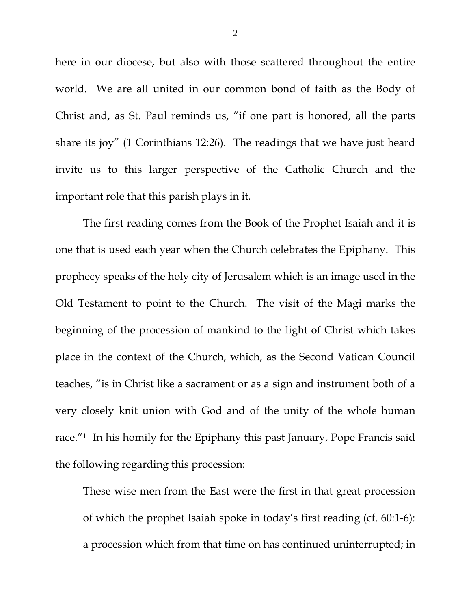here in our diocese, but also with those scattered throughout the entire world. We are all united in our common bond of faith as the Body of Christ and, as St. Paul reminds us, "if one part is honored, all the parts share its joy" (1 Corinthians 12:26). The readings that we have just heard invite us to this larger perspective of the Catholic Church and the important role that this parish plays in it.

 The first reading comes from the Book of the Prophet Isaiah and it is one that is used each year when the Church celebrates the Epiphany. This prophecy speaks of the holy city of Jerusalem which is an image used in the Old Testament to point to the Church. The visit of the Magi marks the beginning of the procession of mankind to the light of Christ which takes place in the context of the Church, which, as the Second Vatican Council teaches, "is in Christ like a sacrament or as a sign and instrument both of a very closely knit union with God and of the unity of the whole human race."1 In his homily for the Epiphany this past January, Pope Francis said the following regarding this procession:

These wise men from the East were the first in that great procession of which the prophet Isaiah spoke in today's first reading (cf. 60:1-6): a procession which from that time on has continued uninterrupted; in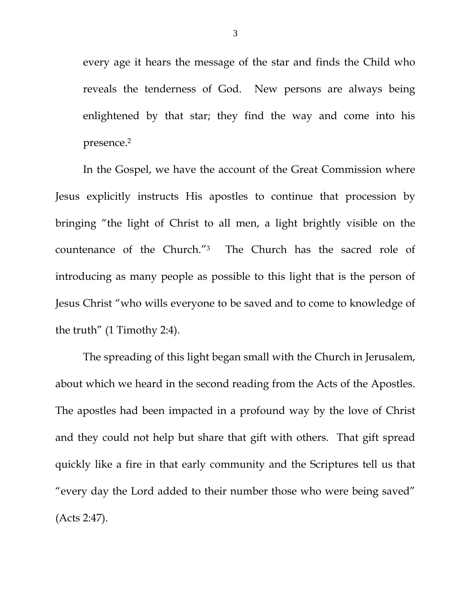every age it hears the message of the star and finds the Child who reveals the tenderness of God. New persons are always being enlightened by that star; they find the way and come into his presence.2

In the Gospel, we have the account of the Great Commission where Jesus explicitly instructs His apostles to continue that procession by bringing "the light of Christ to all men, a light brightly visible on the countenance of the Church."3 The Church has the sacred role of introducing as many people as possible to this light that is the person of Jesus Christ "who wills everyone to be saved and to come to knowledge of the truth" (1 Timothy 2:4).

The spreading of this light began small with the Church in Jerusalem, about which we heard in the second reading from the Acts of the Apostles. The apostles had been impacted in a profound way by the love of Christ and they could not help but share that gift with others. That gift spread quickly like a fire in that early community and the Scriptures tell us that "every day the Lord added to their number those who were being saved" (Acts 2:47).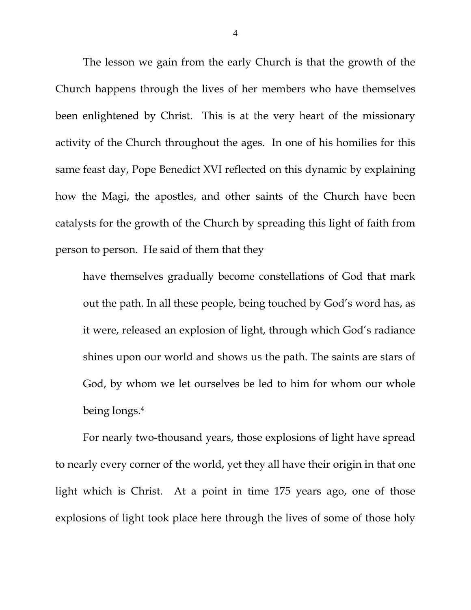The lesson we gain from the early Church is that the growth of the Church happens through the lives of her members who have themselves been enlightened by Christ. This is at the very heart of the missionary activity of the Church throughout the ages. In one of his homilies for this same feast day, Pope Benedict XVI reflected on this dynamic by explaining how the Magi, the apostles, and other saints of the Church have been catalysts for the growth of the Church by spreading this light of faith from person to person. He said of them that they

have themselves gradually become constellations of God that mark out the path. In all these people, being touched by God's word has, as it were, released an explosion of light, through which God's radiance shines upon our world and shows us the path. The saints are stars of God, by whom we let ourselves be led to him for whom our whole being longs.4

For nearly two-thousand years, those explosions of light have spread to nearly every corner of the world, yet they all have their origin in that one light which is Christ. At a point in time 175 years ago, one of those explosions of light took place here through the lives of some of those holy

4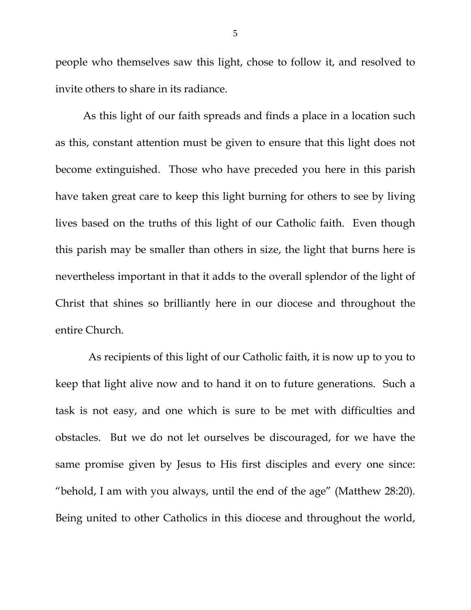people who themselves saw this light, chose to follow it, and resolved to invite others to share in its radiance.

As this light of our faith spreads and finds a place in a location such as this, constant attention must be given to ensure that this light does not become extinguished. Those who have preceded you here in this parish have taken great care to keep this light burning for others to see by living lives based on the truths of this light of our Catholic faith. Even though this parish may be smaller than others in size, the light that burns here is nevertheless important in that it adds to the overall splendor of the light of Christ that shines so brilliantly here in our diocese and throughout the entire Church.

 As recipients of this light of our Catholic faith, it is now up to you to keep that light alive now and to hand it on to future generations. Such a task is not easy, and one which is sure to be met with difficulties and obstacles. But we do not let ourselves be discouraged, for we have the same promise given by Jesus to His first disciples and every one since: "behold, I am with you always, until the end of the age" (Matthew 28:20). Being united to other Catholics in this diocese and throughout the world,